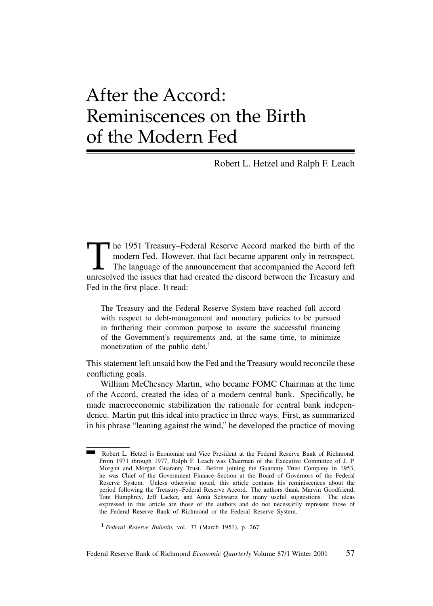# After the Accord: Reminiscences on the Birth of the Modern Fed

Robert L. Hetzel and Ralph F. Leach

The 1951 Treasury–Federal Reserve Accord marked the birth of the modern Fed. However, that fact became apparent only in retrospect.<br>The language of the announcement that accompanied the Accord left unresolved the issues th modern Fed. However, that fact became apparent only in retrospect. The language of the announcement that accompanied the Accord left unresolved the issues that had created the discord between the Treasury and Fed in the first place. It read:

The Treasury and the Federal Reserve System have reached full accord with respect to debt-management and monetary policies to be pursued in furthering their common purpose to assure the successful financing of the Government's requirements and, at the same time, to minimize monetization of the public debt.<sup>1</sup>

This statement left unsaid how the Fed and the Treasury would reconcile these conflicting goals.

William McChesney Martin, who became FOMC Chairman at the time of the Accord, created the idea of a modern central bank. Specifically, he made macroeconomic stabilization the rationale for central bank independence. Martin put this ideal into practice in three ways. First, as summarized in his phrase "leaning against the wind," he developed the practice of moving

<sup>1</sup> *Federal Reserve Bulletin,* vol. 37 (March 1951), p. 267.

Robert L. Hetzel is Economist and Vice President at the Federal Reserve Bank of Richmond. From 1971 through 1977, Ralph F. Leach was Chairman of the Executive Committee of J. P. Morgan and Morgan Guaranty Trust. Before joining the Guaranty Trust Company in 1953, he was Chief of the Government Finance Section at the Board of Governors of the Federal Reserve System. Unless otherwise noted, this article contains his reminiscences about the period following the Treasury–Federal Reserve Accord. The authors thank Marvin Goodfriend, Tom Humphrey, Jeff Lacker, and Anna Schwartz for many useful suggestions. The ideas expressed in this article are those of the authors and do not necessarily represent those of the Federal Reserve Bank of Richmond or the Federal Reserve System.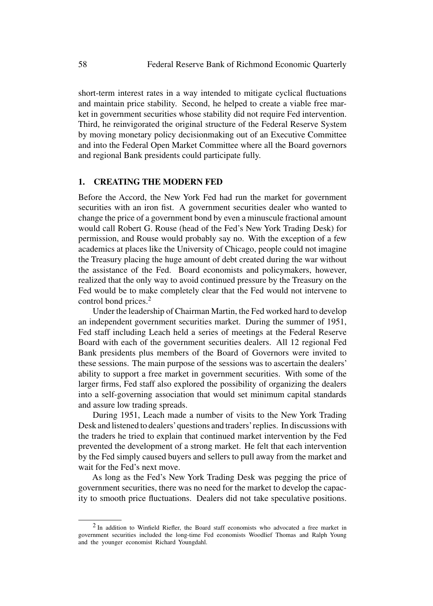short-term interest rates in a way intended to mitigate cyclical fluctuations and maintain price stability. Second, he helped to create a viable free market in government securities whose stability did not require Fed intervention. Third, he reinvigorated the original structure of the Federal Reserve System by moving monetary policy decisionmaking out of an Executive Committee and into the Federal Open Market Committee where all the Board governors and regional Bank presidents could participate fully.

## **1. CREATING THE MODERN FED**

Before the Accord, the New York Fed had run the market for government securities with an iron fist. A government securities dealer who wanted to change the price of a government bond by even a minuscule fractional amount would call Robert G. Rouse (head of the Fed's New York Trading Desk) for permission, and Rouse would probably say no. With the exception of a few academics at places like the University of Chicago, people could not imagine the Treasury placing the huge amount of debt created during the war without the assistance of the Fed. Board economists and policymakers, however, realized that the only way to avoid continued pressure by the Treasury on the Fed would be to make completely clear that the Fed would not intervene to control bond prices.<sup>2</sup>

Under the leadership of Chairman Martin, the Fed worked hard to develop an independent government securities market. During the summer of 1951, Fed staff including Leach held a series of meetings at the Federal Reserve Board with each of the government securities dealers. All 12 regional Fed Bank presidents plus members of the Board of Governors were invited to these sessions. The main purpose of the sessions was to ascertain the dealers' ability to support a free market in government securities. With some of the larger firms, Fed staff also explored the possibility of organizing the dealers into a self-governing association that would set minimum capital standards and assure low trading spreads.

During 1951, Leach made a number of visits to the New York Trading Desk and listened to dealers'questions and traders' replies. In discussions with the traders he tried to explain that continued market intervention by the Fed prevented the development of a strong market. He felt that each intervention by the Fed simply caused buyers and sellers to pull away from the market and wait for the Fed's next move.

As long as the Fed's New York Trading Desk was pegging the price of government securities, there was no need for the market to develop the capacity to smooth price fluctuations. Dealers did not take speculative positions.

<sup>2</sup> In addition to Winfield Riefler, the Board staff economists who advocated a free market in government securities included the long-time Fed economists Woodlief Thomas and Ralph Young and the younger economist Richard Youngdahl.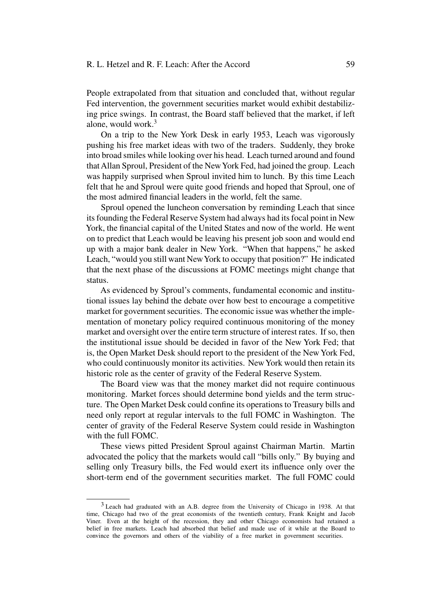#### R. L. Hetzel and R. F. Leach: After the Accord 59

People extrapolated from that situation and concluded that, without regular Fed intervention, the government securities market would exhibit destabilizing price swings. In contrast, the Board staff believed that the market, if left alone, would work. $3$ 

On a trip to the New York Desk in early 1953, Leach was vigorously pushing his free market ideas with two of the traders. Suddenly, they broke into broad smiles while looking over his head. Leach turned around and found that Allan Sproul, President of the NewYork Fed, had joined the group. Leach was happily surprised when Sproul invited him to lunch. By this time Leach felt that he and Sproul were quite good friends and hoped that Sproul, one of the most admired financial leaders in the world, felt the same.

Sproul opened the luncheon conversation by reminding Leach that since its founding the Federal Reserve System had always had its focal point in New York, the financial capital of the United States and now of the world. He went on to predict that Leach would be leaving his present job soon and would end up with a major bank dealer in New York. "When that happens," he asked Leach, "would you still want NewYork to occupy that position?" He indicated that the next phase of the discussions at FOMC meetings might change that status.

As evidenced by Sproul's comments, fundamental economic and institutional issues lay behind the debate over how best to encourage a competitive market for government securities. The economic issue was whether the implementation of monetary policy required continuous monitoring of the money market and oversight over the entire term structure of interest rates. If so, then the institutional issue should be decided in favor of the New York Fed; that is, the Open Market Desk should report to the president of the New York Fed, who could continuously monitor its activities. New York would then retain its historic role as the center of gravity of the Federal Reserve System.

The Board view was that the money market did not require continuous monitoring. Market forces should determine bond yields and the term structure. The Open Market Desk could confine its operations to Treasury bills and need only report at regular intervals to the full FOMC in Washington. The center of gravity of the Federal Reserve System could reside in Washington with the full FOMC.

These views pitted President Sproul against Chairman Martin. Martin advocated the policy that the markets would call "bills only." By buying and selling only Treasury bills, the Fed would exert its influence only over the short-term end of the government securities market. The full FOMC could

<sup>3</sup> Leach had graduated with an A.B. degree from the University of Chicago in 1938. At that time, Chicago had two of the great economists of the twentieth century, Frank Knight and Jacob Viner. Even at the height of the recession, they and other Chicago economists had retained a belief in free markets. Leach had absorbed that belief and made use of it while at the Board to convince the governors and others of the viability of a free market in government securities.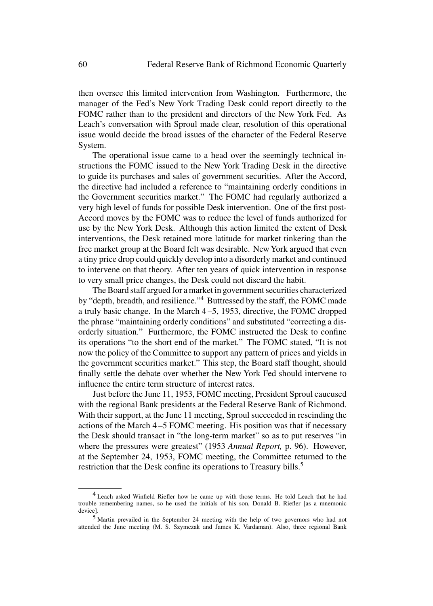then oversee this limited intervention from Washington. Furthermore, the manager of the Fed's New York Trading Desk could report directly to the FOMC rather than to the president and directors of the New York Fed. As Leach's conversation with Sproul made clear, resolution of this operational issue would decide the broad issues of the character of the Federal Reserve System.

The operational issue came to a head over the seemingly technical instructions the FOMC issued to the New York Trading Desk in the directive to guide its purchases and sales of government securities. After the Accord, the directive had included a reference to "maintaining orderly conditions in the Government securities market." The FOMC had regularly authorized a very high level of funds for possible Desk intervention. One of the first post-Accord moves by the FOMC was to reduce the level of funds authorized for use by the New York Desk. Although this action limited the extent of Desk interventions, the Desk retained more latitude for market tinkering than the free market group at the Board felt was desirable. New York argued that even a tiny price drop could quickly develop into a disorderly market and continued to intervene on that theory. After ten years of quick intervention in response to very small price changes, the Desk could not discard the habit.

The Board staff argued for a market in government securities characterized by "depth, breadth, and resilience."4 Buttressed by the staff, the FOMC made a truly basic change. In the March 4 –5, 1953, directive, the FOMC dropped the phrase "maintaining orderly conditions" and substituted "correcting a disorderly situation." Furthermore, the FOMC instructed the Desk to confine its operations "to the short end of the market." The FOMC stated, "It is not now the policy of the Committee to support any pattern of prices and yields in the government securities market." This step, the Board staff thought, should finally settle the debate over whether the New York Fed should intervene to influence the entire term structure of interest rates.

Just before the June 11, 1953, FOMC meeting, President Sproul caucused with the regional Bank presidents at the Federal Reserve Bank of Richmond. With their support, at the June 11 meeting, Sproul succeeded in rescinding the actions of the March 4 –5 FOMC meeting. His position was that if necessary the Desk should transact in "the long-term market" so as to put reserves "in where the pressures were greatest" (1953 *Annual Report,* p. 96). However, at the September 24, 1953, FOMC meeting, the Committee returned to the restriction that the Desk confine its operations to Treasury bills.<sup>5</sup>

<sup>4</sup> Leach asked Winfield Riefler how he came up with those terms. He told Leach that he had trouble remembering names, so he used the initials of his son, Donald B. Riefler [as a mnemonic device].

<sup>5</sup> Martin prevailed in the September 24 meeting with the help of two governors who had not attended the June meeting (M. S. Szymczak and James K. Vardaman). Also, three regional Bank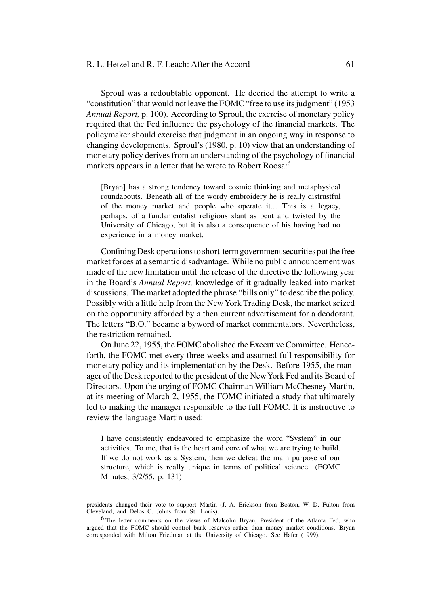## R. L. Hetzel and R. F. Leach: After the Accord 61

Sproul was a redoubtable opponent. He decried the attempt to write a "constitution" that would not leave the FOMC "free to use its judgment" (1953 *Annual Report,* p. 100). According to Sproul, the exercise of monetary policy required that the Fed influence the psychology of the financial markets. The policymaker should exercise that judgment in an ongoing way in response to changing developments. Sproul's (1980, p. 10) view that an understanding of monetary policy derives from an understanding of the psychology of financial markets appears in a letter that he wrote to Robert Roosa:<sup>6</sup>

[Bryan] has a strong tendency toward cosmic thinking and metaphysical roundabouts. Beneath all of the wordy embroidery he is really distrustful of the money market and people who operate it.... This is a legacy, perhaps, of a fundamentalist religious slant as bent and twisted by the University of Chicago, but it is also a consequence of his having had no experience in a money market.

Confining Desk operations to short-term government securities put the free market forces at a semantic disadvantage. While no public announcement was made of the new limitation until the release of the directive the following year in the Board's *Annual Report,* knowledge of it gradually leaked into market discussions. The market adopted the phrase "bills only" to describe the policy. Possibly with a little help from the New York Trading Desk, the market seized on the opportunity afforded by a then current advertisement for a deodorant. The letters "B.O." became a byword of market commentators. Nevertheless, the restriction remained.

On June 22, 1955, the FOMC abolished the Executive Committee. Henceforth, the FOMC met every three weeks and assumed full responsibility for monetary policy and its implementation by the Desk. Before 1955, the manager of the Desk reported to the president of the NewYork Fed and its Board of Directors. Upon the urging of FOMC Chairman William McChesney Martin, at its meeting of March 2, 1955, the FOMC initiated a study that ultimately led to making the manager responsible to the full FOMC. It is instructive to review the language Martin used:

I have consistently endeavored to emphasize the word "System" in our activities. To me, that is the heart and core of what we are trying to build. If we do not work as a System, then we defeat the main purpose of our structure, which is really unique in terms of political science. (FOMC Minutes, 3/2/55, p. 131)

presidents changed their vote to support Martin (J. A. Erickson from Boston, W. D. Fulton from Cleveland, and Delos C. Johns from St. Louis).

<sup>6</sup> The letter comments on the views of Malcolm Bryan, President of the Atlanta Fed, who argued that the FOMC should control bank reserves rather than money market conditions. Bryan corresponded with Milton Friedman at the University of Chicago. See Hafer (1999).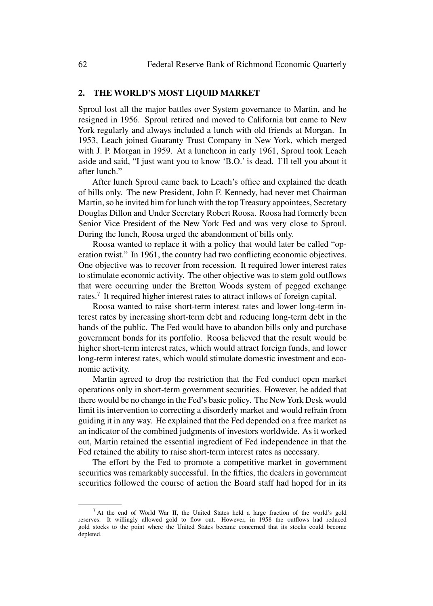# **2. THE WORLD'S MOST LIQUID MARKET**

Sproul lost all the major battles over System governance to Martin, and he resigned in 1956. Sproul retired and moved to California but came to New York regularly and always included a lunch with old friends at Morgan. In 1953, Leach joined Guaranty Trust Company in New York, which merged with J. P. Morgan in 1959. At a luncheon in early 1961, Sproul took Leach aside and said, "I just want you to know 'B.O.' is dead. I'll tell you about it after lunch."

After lunch Sproul came back to Leach's office and explained the death of bills only. The new President, John F. Kennedy, had never met Chairman Martin, so he invited him for lunch with the top Treasury appointees, Secretary Douglas Dillon and Under Secretary Robert Roosa. Roosa had formerly been Senior Vice President of the New York Fed and was very close to Sproul. During the lunch, Roosa urged the abandonment of bills only.

Roosa wanted to replace it with a policy that would later be called "operation twist." In 1961, the country had two conflicting economic objectives. One objective was to recover from recession. It required lower interest rates to stimulate economic activity. The other objective was to stem gold outflows that were occurring under the Bretton Woods system of pegged exchange rates.<sup>7</sup> It required higher interest rates to attract inflows of foreign capital.

Roosa wanted to raise short-term interest rates and lower long-term interest rates by increasing short-term debt and reducing long-term debt in the hands of the public. The Fed would have to abandon bills only and purchase government bonds for its portfolio. Roosa believed that the result would be higher short-term interest rates, which would attract foreign funds, and lower long-term interest rates, which would stimulate domestic investment and economic activity.

Martin agreed to drop the restriction that the Fed conduct open market operations only in short-term government securities. However, he added that there would be no change in the Fed's basic policy. The NewYork Desk would limit its intervention to correcting a disorderly market and would refrain from guiding it in any way. He explained that the Fed depended on a free market as an indicator of the combined judgments of investors worldwide. As it worked out, Martin retained the essential ingredient of Fed independence in that the Fed retained the ability to raise short-term interest rates as necessary.

The effort by the Fed to promote a competitive market in government securities was remarkably successful. In the fifties, the dealers in government securities followed the course of action the Board staff had hoped for in its

<sup>7</sup> At the end of World War II, the United States held a large fraction of the world's gold reserves. It willingly allowed gold to flow out. However, in 1958 the outflows had reduced gold stocks to the point where the United States became concerned that its stocks could become depleted.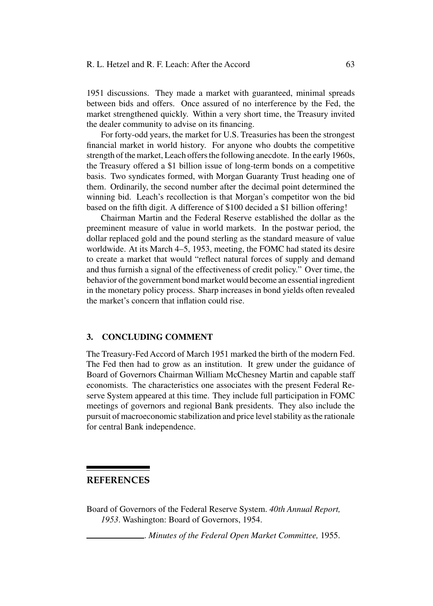#### R. L. Hetzel and R. F. Leach: After the Accord 63

1951 discussions. They made a market with guaranteed, minimal spreads between bids and offers. Once assured of no interference by the Fed, the market strengthened quickly. Within a very short time, the Treasury invited the dealer community to advise on its financing.

For forty-odd years, the market for U.S. Treasuries has been the strongest financial market in world history. For anyone who doubts the competitive strength of the market, Leach offers the following anecdote. In the early 1960s, the Treasury offered a \$1 billion issue of long-term bonds on a competitive basis. Two syndicates formed, with Morgan Guaranty Trust heading one of them. Ordinarily, the second number after the decimal point determined the winning bid. Leach's recollection is that Morgan's competitor won the bid based on the fifth digit. A difference of \$100 decided a \$1 billion offering!

Chairman Martin and the Federal Reserve established the dollar as the preeminent measure of value in world markets. In the postwar period, the dollar replaced gold and the pound sterling as the standard measure of value worldwide. At its March 4–5, 1953, meeting, the FOMC had stated its desire to create a market that would "reflect natural forces of supply and demand and thus furnish a signal of the effectiveness of credit policy." Over time, the behavior of the government bond market would become an essential ingredient in the monetary policy process. Sharp increases in bond yields often revealed the market's concern that inflation could rise.

## **3. CONCLUDING COMMENT**

The Treasury-Fed Accord of March 1951 marked the birth of the modern Fed. The Fed then had to grow as an institution. It grew under the guidance of Board of Governors Chairman William McChesney Martin and capable staff economists. The characteristics one associates with the present Federal Reserve System appeared at this time. They include full participation in FOMC meetings of governors and regional Bank presidents. They also include the pursuit of macroeconomic stabilization and price level stability as the rationale for central Bank independence.

# **REFERENCES**

Board of Governors of the Federal Reserve System. *40th Annual Report, 1953*. Washington: Board of Governors, 1954.

. *Minutes of the Federal Open Market Committee,* 1955.